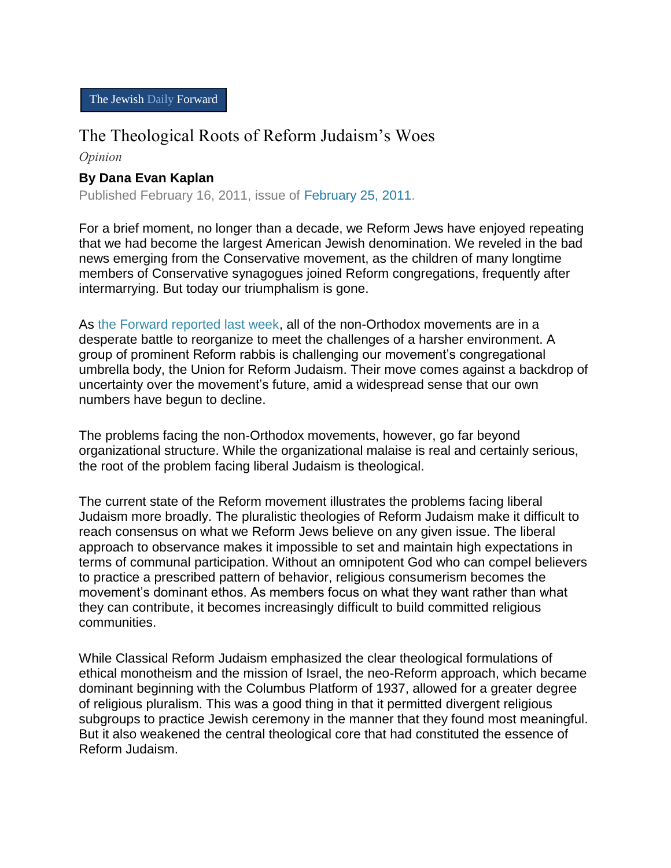## The Theological Roots of Reform Judaism's Woes

*Opinion*

## **By Dana Evan Kaplan**

Published February 16, 2011, issue of [February 25, 2011.](http://www.forward.com/issues/2011-02-25/)

For a brief moment, no longer than a decade, we Reform Jews have enjoyed repeating that we had become the largest American Jewish denomination. We reveled in the bad news emerging from the Conservative movement, as the children of many longtime members of Conservative synagogues joined Reform congregations, frequently after intermarrying. But today our triumphalism is gone.

As [the Forward reported last week,](http://www.forward.com/articles/135323/) all of the non-Orthodox movements are in a desperate battle to reorganize to meet the challenges of a harsher environment. A group of prominent Reform rabbis is challenging our movement's congregational umbrella body, the Union for Reform Judaism. Their move comes against a backdrop of uncertainty over the movement's future, amid a widespread sense that our own numbers have begun to decline.

The problems facing the non-Orthodox movements, however, go far beyond organizational structure. While the organizational malaise is real and certainly serious, the root of the problem facing liberal Judaism is theological.

The current state of the Reform movement illustrates the problems facing liberal Judaism more broadly. The pluralistic theologies of Reform Judaism make it difficult to reach consensus on what we Reform Jews believe on any given issue. The liberal approach to observance makes it impossible to set and maintain high expectations in terms of communal participation. Without an omnipotent God who can compel believers to practice a prescribed pattern of behavior, religious consumerism becomes the movement's dominant ethos. As members focus on what they want rather than what they can contribute, it becomes increasingly difficult to build committed religious communities.

While Classical Reform Judaism emphasized the clear theological formulations of ethical monotheism and the mission of Israel, the neo-Reform approach, which became dominant beginning with the Columbus Platform of 1937, allowed for a greater degree of religious pluralism. This was a good thing in that it permitted divergent religious subgroups to practice Jewish ceremony in the manner that they found most meaningful. But it also weakened the central theological core that had constituted the essence of Reform Judaism.